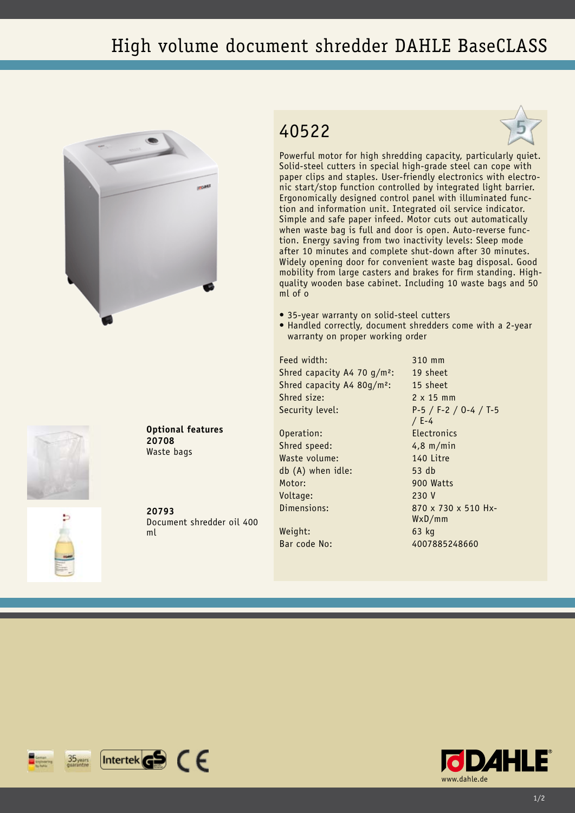## High volume document shredder DAHLE BaseCLASS







Powerful motor for high shredding capacity, particularly quiet. Solid-steel cutters in special high-grade steel can cope with paper clips and staples. User-friendly electronics with electronic start/stop function controlled by integrated light barrier. Ergonomically designed control panel with illuminated function and information unit. Integrated oil service indicator. Simple and safe paper infeed. Motor cuts out automatically when waste bag is full and door is open. Auto-reverse function. Energy saving from two inactivity levels: Sleep mode after 10 minutes and complete shut-down after 30 minutes. Widely opening door for convenient waste bag disposal. Good mobility from large casters and brakes for firm standing. Highquality wooden base cabinet. Including 10 waste bags and 50 ml of o

- 35-year warranty on solid-steel cutters
- Handled correctly, document shredders come with a 2-year warranty on proper working order

Feed width: 310 mm Shred capacity A4 70 g/m<sup>2</sup>: 19 sheet Shred capacity A4 80g/m²: 15 sheet Shred size: 2 x 15 mm

Operation: Electronics Shred speed: 4,8 m/min Waste volume: 140 Litre db (A) when idle: 53 db Motor: 900 Watts Voltage: 230 V

Weight: 63 kg

Security level: P-5 / F-2 / O-4 / T-5 / E-4 Dimensions: 870 x 730 x 510 Hx-WxD/mm Bar code No: 4007885248660





**20793** Document shredder oil 400 ml

**Optional features**

**20708** Waste bags